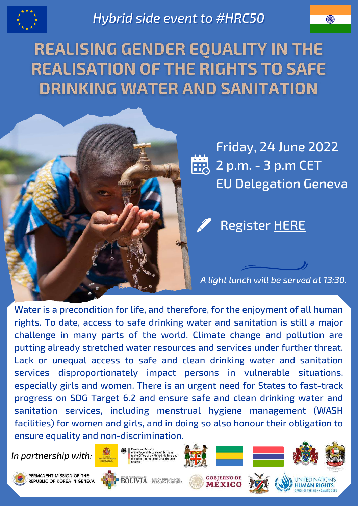

*Hybrid side event to #HRC50* 

**REALISING GENDER EQUALITY IN THE REALISATION OF THE RIGHTS TO SAFE DRINKING WATER AND SANITATION** 



Friday, 24 June 2022 **2 p.m. - 3 p.m CET** EU Delegation Geneva

Register [HERE](https://docs.google.com/forms/d/18vzLKJ0WfJpJfFe4_jLtW7LBqAiF3VHOsDI1YRWTdKM/edit)

*A light lunch will be served at 13:30.*

Water is a precondition for life, and therefore, for the enjoyment of all human rights. To date, access to safe drinking water and sanitation is still a major challenge in many parts of the world. Climate change and pollution are putting already stretched water resources and services under further threat. Lack or unequal access to safe and clean drinking water and sanitation services disproportionately impact persons in vulnerable situations, especially girls and women. There is an urgent need for States to fast-track progress on SDG Target 6.2 and ensure safe and clean drinking water and sanitation services, including menstrual hygiene management (WASH facilities) for women and girls, and in doing so also honour their obligation to ensure equality and non-discrimination.

*In partnership with:*



**ERMANENT MISSION OF THE** REPUBLIC OF KOREA IN GENEVA













**HUMAN RIGHTS**